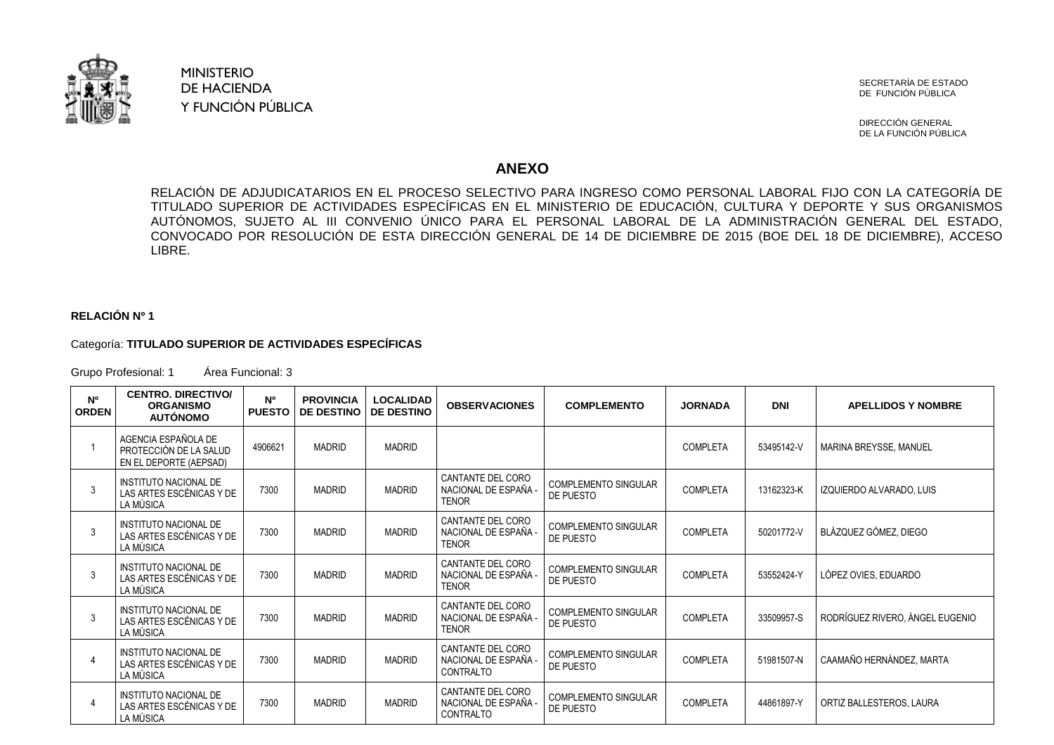

## MINISTERIO DE HACIENDA Y FUNCIÓN PÚBLICA

SECRETARÍA DE ESTADO DE FUNCIÓN PÚBLICA

DIRECCIÓN GENERAL DE LA FUNCIÓN PÚBLICA

## **ANEXO**

RELACIÓN DE ADJUDICATARIOS EN EL PROCESO SELECTIVO PARA INGRESO COMO PERSONAL LABORAL FIJO CON LA CATEGORÍA DE TITULADO SUPERIOR DE ACTIVIDADES ESPECÍFICAS EN EL MINISTERIO DE EDUCACIÓN, CULTURA Y DEPORTE Y SUS ORGANISMOS AUTÓNOMOS, SUJETO AL III CONVENIO ÚNICO PARA EL PERSONAL LABORAL DE LA ADMINISTRACIÓN GENERAL DEL ESTADO, CONVOCADO POR RESOLUCIÓN DE ESTA DIRECCIÓN GENERAL DE 14 DE DICIEMBRE DE 2015 (BOE DEL 18 DE DICIEMBRE), ACCESO LIBRE.

## **RELACIÓN Nº 1**

## Categoría: **TITULADO SUPERIOR DE ACTIVIDADES ESPECÍFICAS**

Grupo Profesional: 1 Área Funcional: 3

| N <sup>o</sup><br><b>ORDEN</b> | <b>CENTRO, DIRECTIVO/</b><br><b>ORGANISMO</b><br><b>AUTÓNOMO</b>        | N <sup>o</sup><br><b>PUESTO</b> | <b>PROVINCIA</b><br><b>DE DESTINO</b> | <b>LOCALIDAD</b><br><b>DE DESTINO</b> | <b>OBSERVACIONES</b>                                      | <b>COMPLEMENTO</b>                       | <b>JORNADA</b>  | <b>DNI</b> | <b>APELLIDOS Y NOMBRE</b>       |
|--------------------------------|-------------------------------------------------------------------------|---------------------------------|---------------------------------------|---------------------------------------|-----------------------------------------------------------|------------------------------------------|-----------------|------------|---------------------------------|
|                                | AGENCIA ESPAÑOLA DE<br>PROTECCIÓN DE LA SALUD<br>EN EL DEPORTE (AEPSAD) | 4906621                         | <b>MADRID</b>                         | <b>MADRID</b>                         |                                                           |                                          | <b>COMPLETA</b> | 53495142-V | MARINA BREYSSE, MANUEL          |
|                                | INSTITUTO NACIONAL DE<br>LAS ARTES ESCÉNICAS Y DE<br>LA MÚSICA          | 7300                            | <b>MADRID</b>                         | <b>MADRID</b>                         | CANTANTE DEL CORO<br>NACIONAL DE ESPAÑA -<br><b>TENOR</b> | <b>COMPLEMENTO SINGULAR</b><br>DE PUESTO | <b>COMPLETA</b> | 13162323-K | IZQUIERDO ALVARADO, LUIS        |
|                                | <b>INSTITUTO NACIONAL DE</b><br>LAS ARTES ESCÉNICAS Y DE<br>LA MÚSICA   | 7300                            | <b>MADRID</b>                         | <b>MADRID</b>                         | CANTANTE DEL CORO<br>NACIONAL DE ESPAÑA -<br><b>TENOR</b> | <b>COMPLEMENTO SINGULAR</b><br>DE PUESTO | <b>COMPLETA</b> | 50201772-V | BLÁZQUEZ GÓMEZ. DIEGO           |
| 3                              | INSTITUTO NACIONAL DE<br>LAS ARTES ESCÉNICAS Y DE<br>LA MÚSICA          | 7300                            | <b>MADRID</b>                         | <b>MADRID</b>                         | CANTANTE DEL CORO<br>NACIONAL DE ESPAÑA -<br><b>TENOR</b> | <b>COMPLEMENTO SINGULAR</b><br>DE PUESTO | <b>COMPLETA</b> | 53552424-Y | LÓPEZ OVIES, EDUARDO            |
| 3                              | INSTITUTO NACIONAL DE<br>LAS ARTES ESCÉNICAS Y DE<br>LA MÚSICA          | 7300                            | <b>MADRID</b>                         | <b>MADRID</b>                         | CANTANTE DEL CORO<br>NACIONAL DE ESPAÑA -<br><b>TENOR</b> | <b>COMPLEMENTO SINGULAR</b><br>DE PUESTO | <b>COMPLETA</b> | 33509957-S | RODRÍGUEZ RIVERO. ÁNGEL EUGENIO |
|                                | <b>INSTITUTO NACIONAL DE</b><br>LAS ARTES ESCÉNICAS Y DE<br>LA MÚSICA   | 7300                            | <b>MADRID</b>                         | <b>MADRID</b>                         | CANTANTE DEL CORO<br>NACIONAL DE ESPAÑA -<br>CONTRALTO    | <b>COMPLEMENTO SINGULAR</b><br>DE PUESTO | <b>COMPLETA</b> | 51981507-N | CAAMAÑO HERNÁNDEZ. MARTA        |
|                                | INSTITUTO NACIONAL DE<br>LAS ARTES ESCÉNICAS Y DE<br>LA MÚSICA          | 7300                            | <b>MADRID</b>                         | <b>MADRID</b>                         | CANTANTE DEL CORO<br>NACIONAL DE ESPAÑA -<br>CONTRALTO    | <b>COMPLEMENTO SINGULAR</b><br>DE PUESTO | <b>COMPLETA</b> | 44861897-Y | ORTIZ BALLESTEROS, LAURA        |